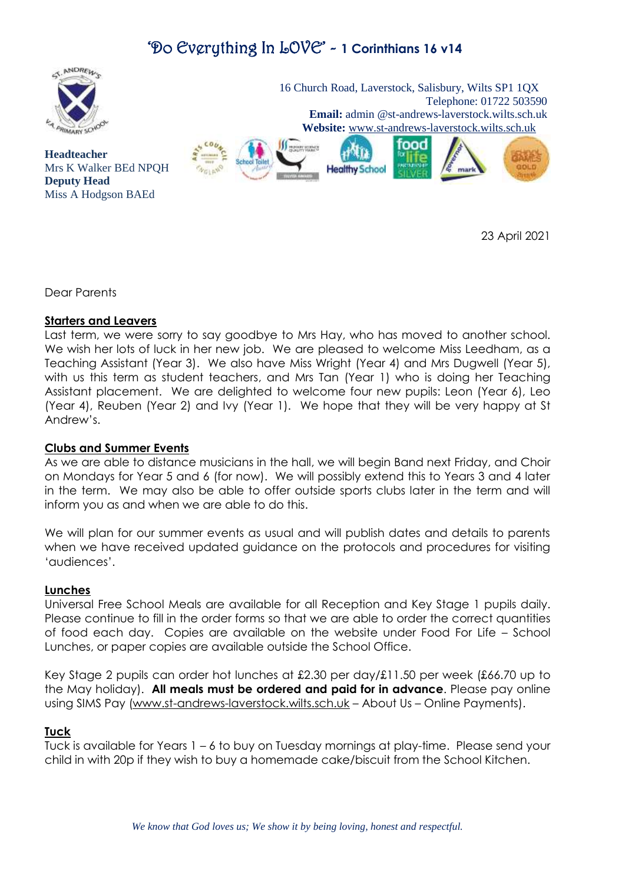

**Headteacher**

**Deputy Head**

Mrs K Walker BEd NPQH

Miss A Hodgson BAEd

 16 Church Road, Laverstock, Salisbury, Wilts SP1 1QX Telephone: 01722 503590 **Email:** admin @st-andrews-laverstock.wilts.sch.uk  **Website:** [www.st-andrews-laverstock.wilts.sch.uk](http://www.st-andrews-laverstock.wilts.sch.uk/)



23 April 2021

Dear Parents

### **Starters and Leavers**

Last term, we were sorry to say goodbye to Mrs Hay, who has moved to another school. We wish her lots of luck in her new job. We are pleased to welcome Miss Leedham, as a Teaching Assistant (Year 3). We also have Miss Wright (Year 4) and Mrs Dugwell (Year 5), with us this term as student teachers, and Mrs Tan (Year 1) who is doing her Teaching Assistant placement. We are delighted to welcome four new pupils: Leon (Year 6), Leo (Year 4), Reuben (Year 2) and Ivy (Year 1). We hope that they will be very happy at St Andrew's.

### **Clubs and Summer Events**

As we are able to distance musicians in the hall, we will begin Band next Friday, and Choir on Mondays for Year 5 and 6 (for now). We will possibly extend this to Years 3 and 4 later in the term. We may also be able to offer outside sports clubs later in the term and will inform you as and when we are able to do this.

We will plan for our summer events as usual and will publish dates and details to parents when we have received updated guidance on the protocols and procedures for visiting 'audiences'.

#### **Lunches**

Universal Free School Meals are available for all Reception and Key Stage 1 pupils daily. Please continue to fill in the order forms so that we are able to order the correct quantities of food each day. Copies are available on the website under Food For Life – School Lunches, or paper copies are available outside the School Office.

Key Stage 2 pupils can order hot lunches at £2.30 per day/£11.50 per week (£66.70 up to the May holiday). **All meals must be ordered and paid for in advance**. Please pay online using SIMS Pay [\(www.st-andrews-laverstock.wilts.sch.uk](http://www.st-andrews-laverstock.wilts.sch.uk/) – About Us – Online Payments).

#### **Tuck**

Tuck is available for Years 1 – 6 to buy on Tuesday mornings at play-time. Please send your child in with 20p if they wish to buy a homemade cake/biscuit from the School Kitchen.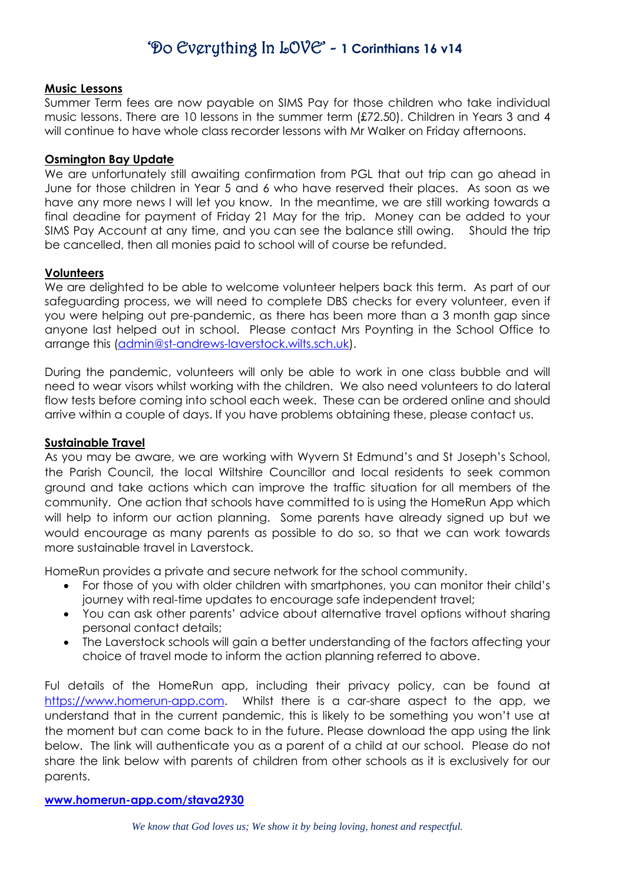### **Music Lessons**

Summer Term fees are now payable on SIMS Pay for those children who take individual music lessons. There are 10 lessons in the summer term (£72.50). Children in Years 3 and 4 will continue to have whole class recorder lessons with Mr Walker on Friday afternoons.

### **Osmington Bay Update**

We are unfortunately still awaiting confirmation from PGL that out trip can go ahead in June for those children in Year 5 and 6 who have reserved their places. As soon as we have any more news I will let you know. In the meantime, we are still working towards a final deadine for payment of Friday 21 May for the trip. Money can be added to your SIMS Pay Account at any time, and you can see the balance still owing. Should the trip be cancelled, then all monies paid to school will of course be refunded.

### **Volunteers**

We are delighted to be able to welcome volunteer helpers back this term. As part of our safeguarding process, we will need to complete DBS checks for every volunteer, even if you were helping out pre-pandemic, as there has been more than a 3 month gap since anyone last helped out in school. Please contact Mrs Poynting in the School Office to arrange this [\(admin@st-andrews-laverstock.wilts.sch.uk\)](mailto:admin@st-andrews-laverstock.wilts.sch.uk).

During the pandemic, volunteers will only be able to work in one class bubble and will need to wear visors whilst working with the children. We also need volunteers to do lateral flow tests before coming into school each week. These can be ordered online and should arrive within a couple of days. If you have problems obtaining these, please contact us.

#### **Sustainable Travel**

As you may be aware, we are working with Wyvern St Edmund's and St Joseph's School, the Parish Council, the local Wiltshire Councillor and local residents to seek common ground and take actions which can improve the traffic situation for all members of the community. One action that schools have committed to is using the HomeRun App which will help to inform our action planning. Some parents have already signed up but we would encourage as many parents as possible to do so, so that we can work towards more sustainable travel in Laverstock.

HomeRun provides a private and secure network for the school community.

- For those of you with older children with smartphones, you can monitor their child's journey with real-time updates to encourage safe independent travel;
- You can ask other parents' advice about alternative travel options without sharing personal contact details;
- The Laverstock schools will gain a better understanding of the factors affecting your choice of travel mode to inform the action planning referred to above.

Ful details of the HomeRun app, including their privacy policy, can be found at [https://www.homerun-app.com.](https://www.homerun-app.com/) Whilst there is a car-share aspect to the app, we understand that in the current pandemic, this is likely to be something you won't use at the moment but can come back to in the future. Please download the app using the link below. The link will authenticate you as a parent of a child at our school. Please do not share the link below with parents of children from other schools as it is exclusively for our parents.

#### **[www.homerun-app.com/stava2930](http://www.homerun-app.com/stava2930)**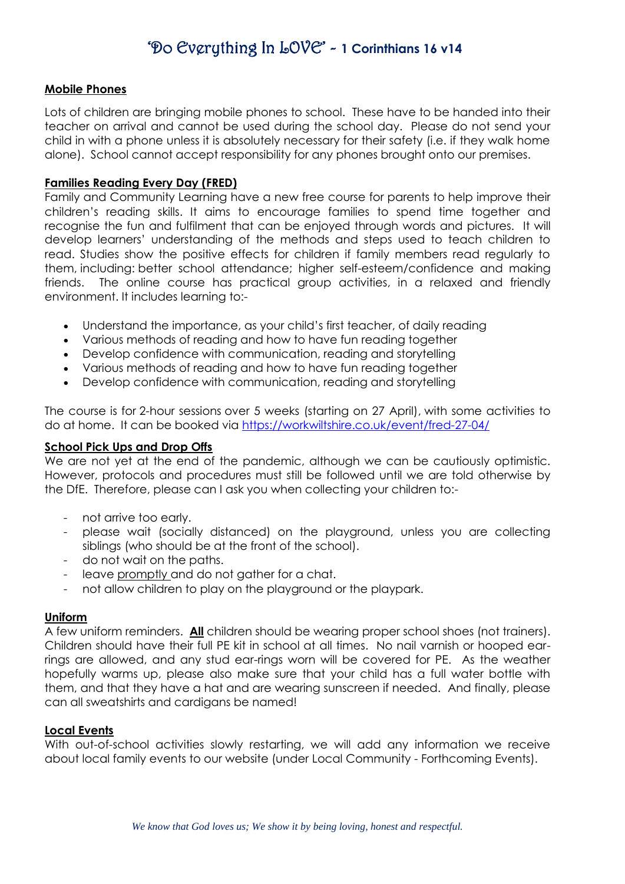#### **Mobile Phones**

Lots of children are bringing mobile phones to school. These have to be handed into their teacher on arrival and cannot be used during the school day. Please do not send your child in with a phone unless it is absolutely necessary for their safety (i.e. if they walk home alone). School cannot accept responsibility for any phones brought onto our premises.

#### **Families Reading Every Day (FRED)**

Family and Community Learning have a new free course for parents to help improve their children's reading skills. It aims to encourage families to spend time together and recognise the fun and fulfilment that can be enjoyed through words and pictures. It will develop learners' understanding of the methods and steps used to teach children to read. Studies show the positive effects for children if family members read regularly to them, including: better school attendance; higher self-esteem/confidence and making friends. The online course has practical group activities, in a relaxed and friendly environment. It includes learning to:-

- Understand the importance, as your child's first teacher, of daily reading
- Various methods of reading and how to have fun reading together
- Develop confidence with communication, reading and storytelling
- Various methods of reading and how to have fun reading together
- Develop confidence with communication, reading and storytelling

The course is for 2-hour sessions over 5 weeks (starting on 27 April), with some activities to do at home. It can be booked via<https://workwiltshire.co.uk/event/fred-27-04/>

#### **School Pick Ups and Drop Offs**

We are not yet at the end of the pandemic, although we can be cautiously optimistic. However, protocols and procedures must still be followed until we are told otherwise by the DfE. Therefore, please can I ask you when collecting your children to:-

- not arrive too early.
- please wait (socially distanced) on the playground, unless you are collecting siblings (who should be at the front of the school).
- do not wait on the paths.
- leave promptly and do not gather for a chat.
- not allow children to play on the playground or the playpark.

#### **Uniform**

A few uniform reminders. **All** children should be wearing proper school shoes (not trainers). Children should have their full PE kit in school at all times. No nail varnish or hooped earrings are allowed, and any stud ear-rings worn will be covered for PE. As the weather hopefully warms up, please also make sure that your child has a full water bottle with them, and that they have a hat and are wearing sunscreen if needed. And finally, please can all sweatshirts and cardigans be named!

#### **Local Events**

With out-of-school activities slowly restarting, we will add any information we receive about local family events to our website (under Local Community - Forthcoming Events).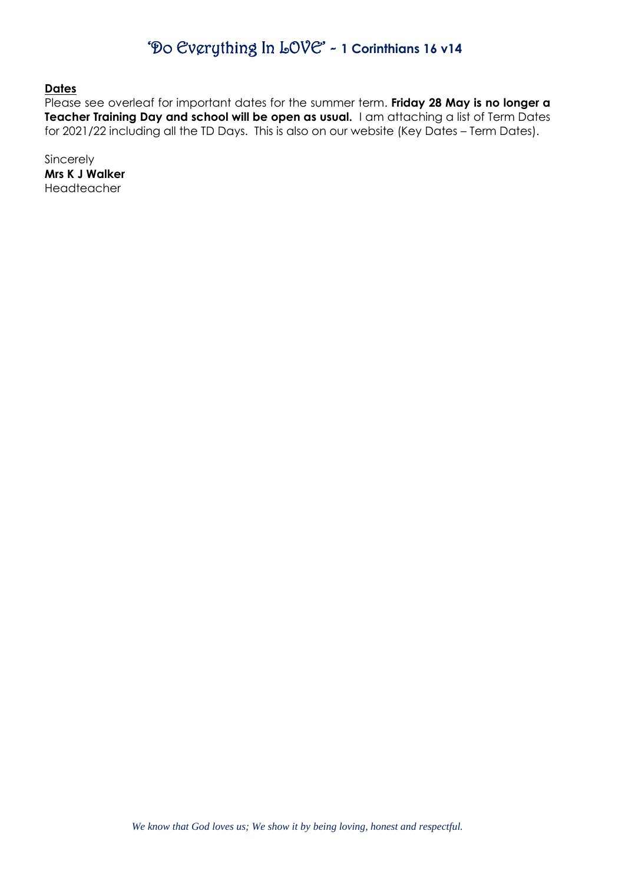**Dates**

Please see overleaf for important dates for the summer term. **Friday 28 May is no longer a Teacher Training Day and school will be open as usual.** I am attaching a list of Term Dates for 2021/22 including all the TD Days. This is also on our website (Key Dates – Term Dates).

Sincerely **Mrs K J Walker** Headteacher